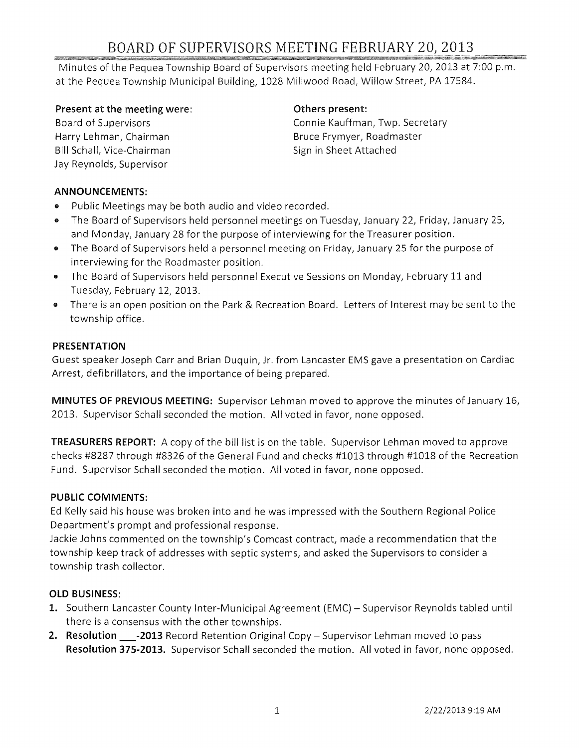# BOARD OF SUPERVISORS MEETING FEBRUARY 20, 2013

Minutes of the Pequea Township Board of Supervisors meeting held February 20,2013 at 7:00 p.m. at the Pequea Township Municipal Building, 1028 Millwood Road, Willow Street, PA 17584.

#### Present at the meeting were:

Board of Supervisors Harry Lehman, Chairman Bill Schall, Vice-Chairman Jay Reynolds, Supervisor

#### Others present:

Connie Kauffman, Twp. Secretary Bruce Frymyer, Roadmaster Sign in Sheet Attached

#### ANNOUNCEMENTS:

- Public Meetings may be both audio and video recorded.
- o The Board of Supervisors held personnel meetings on Tuesday, January 22, Friday, January 25, and Monday, January 28 for the purpose of interviewing for the Treasurer position.
- The Board of Supervisors held a personnel meeting on Friday, January 25 for the purpose of interviewing for the Roadmaster position.
- The Board of Supervisors held personnel Executive Sessions on Monday, February 11 and Tuesday, February 12, 2013.
- o There is an open position on the Park & Recreation Board. Letters of Interest may be sent to the township office.

#### PRESENTATION

Guest speaker Joseph Carr and Brian Duquin, Jr. from Lancaster EMS gave a presentation on Cardiac Arrest, defibrillators, and the importance of being prepared.

MINUTES OF PREVIOUS MEETING: Supervisor Lehman moved to approve the minutes of January 16, 2013. Supervisor Schall seconded the motion. All voted in favor, none opposed.

TREASURERS REPORT: A copy of the bill list is on the table. Supervisor Lehman moved to approve checks #8287 through #8326 of the General Fund and checks #1013 through #1018 of the Recreation Fund. Supervisor Schall seconded the motion. All voted in favor, none opposed.

#### PUBLIC COMMENTS:

Ed Kelly said his house was broken into and he was impressed with the Southern Regional Police Department's prompt and professional response.

Jackie Johns commented on the township's Comcast contract, made a recommendation that the township keep track of addresses with septic systems, and asked the Supervisors to consider a township trash collector.

#### OLD BUSINESS:

- 1. Southern Lancaster County Inter-Municipal Agreement (EMC) Supervisor Reynolds tabled until there is a consensus with the other townships.
- 2. Resolution \_\_\_-2013 Record Retention Original Copy Supervisor Lehman moved to pass Resolution 375-2013. Supervisor Schall seconded the motion. All voted in favor, none opposed.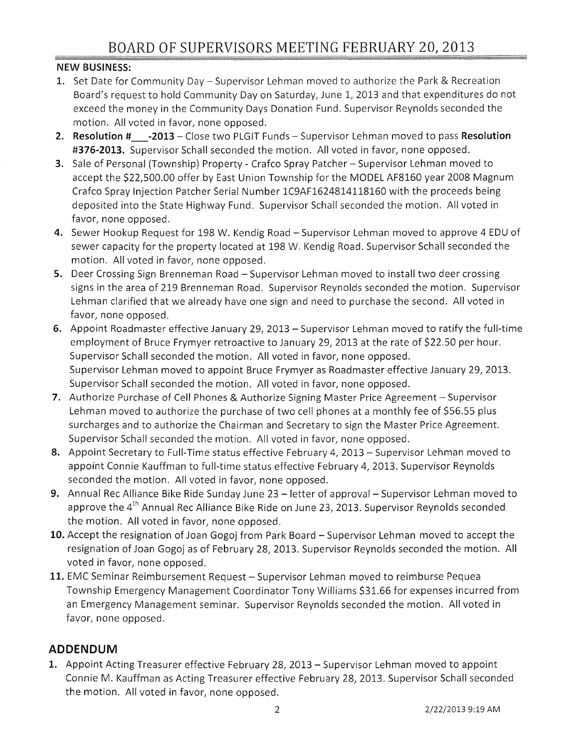#### NEW BUSINESS:

- 1. Set Date for Community Day Supervisor Lehman moved to authorize the Park & Recreation Board's request to hold Community Day on Saturday, June 1, 2013 and that expenditures do not exceed the money in the Community Days Donation Fund. Supervisor Reynolds seconded the motion. All voted in favor, none opposed.
- 2. Resolution # -2013 Close two PLGIT Funds Supervisor Lehman moved to pass Resolution #376-2013. Supervisor Schall seconded the motion. All voted in favor, none opposed.
- 3. Sale of Personal (Township) Property Crafco Spray Patcher Supervisor Lehman moved to accept the \$22,500.00 offer by East Union Township for the MODEL AF8160 year 2008 Magnum Crafco Spray Injection Patcher Serial Number 1C9AF1624814118160 with the proceeds being deposited into the State Highway Fund. Supervisor Schall seconded the motion. All voted in favor, none opposed.
- 4. Sewer Hookup Request for 198 W. Kendig Road Supervisor Lehman moved to approve 4 EDU of sewer capacity for the property located at 198 W. Kendig Road. Supervisor Schall seconded the motion. All voted in favor, none opposed.
- 5. Deer Crossing Sign Brenneman Road Supervisor Lehman moved to install two deer crossing signs in the area of 219 Brenneman Road. Supervisor Reynolds seconded the motion. Supervisor Lehman clarified that we already have one sign and need to purchase the second. All voted in favor, none opposed.
- 6. Appoint Roadmaster effective January 29, 2013 Supervisor Lehman moved to ratify the full-time employment of Bruce Frymyer retroactive to January 29, 2013 at the rate of \$22.50 per hour. Supervisor Schall seconded the motion. All voted in favor, none opposed. Supervisor Lehman moved to appoint Bruce Frymyer as Roadmaster effective January 29, 2013. Supervisor Schall seconded the motion. All voted in favor, none opposed.
- 7. Authorize Purchase of Cell Phones & Authorize Signing Master Price Agreement Supervisor Lehman moved to authorize the purchase of two cell phones at a monthly fee of \$56.55 plus surcharges and to authorize the Chairman and Secretary to sign the Master Price Agreement. Supervisor Schall seconded the motion. All voted in favor, none opposed.
- 8. Appoint Secretary to Full-Time status effective February 4, 2013 Supervisor Lehman moved to appoint Connie Kauffman to full-time status effective February 4,2013. Supervisor Reynolds seconded the motion. All voted in favor, none opposed.
- 9. Annual Rec Alliance Bike Ride Sunday June 23 letter of approval Supervisor Lehman moved to approve the 4<sup>th</sup> Annual Rec Alliance Bike Ride on June 23, 2013. Supervisor Reynolds seconded the motion. All voted in favor, none opposed.
- 10. Accept the resignation of Joan Gogoj from Park Board Supervisor Lehman moved to accept the resignation of Joan Gogoj as of February 28, 2013. Supervisor Reynolds seconded the motion. All voted in favor, none opposed.
- 11. EMC Seminar Reimbursement Request Supervisor Lehman moved to reimburse Pequea Township Emergency Management Coordinator Tony Williams \$31.66 for expenses incurred from an Emergency Management seminar. Supervisor Reynolds seconded the motion. All voted in favor, none opposed.

## **ADDENDUM**

1. Appoint Acting Treasurer effective February 28, 2013 - Supervisor Lehman moved to appoint Connie M. Kauffman as Acting Treasurer effective February 28,2013. Supervisor Schall seconded the motion. All voted in favor, none opposed.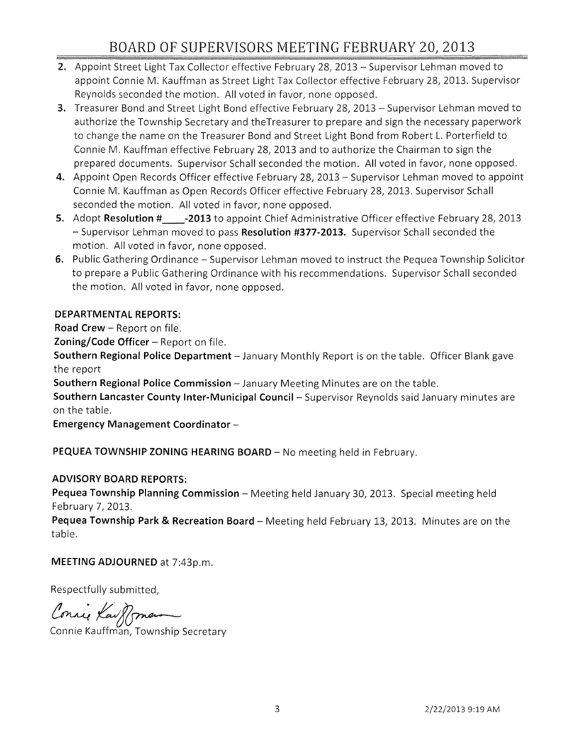## BOARD OF SUPERVISORS MEETING FEBRUARY 20} 2013

- 2. Appoint Street Light Tax Collector effective February 28, 2013 Supervisor Lehman moved to appoint Connie M. Kauffman as Street Light Tax Collector effective February 28, 2013. Supervisor Reynolds seconded the motion. All voted in favor, none opposed.
- 3. Treasurer Bond and Street Light Bond effective February 28, 2013 Supervisor Lehman moved to authorize the Township Secretary and theTreasurer to prepare and sign the necessary paperwork to change the name on the Treasurer Bond and Street Light Bond from Robert L. Porterfield to Connie M. Kauffman effective February 28,2013 and to authorize the Chairman to sign the prepared documents. Supervisor Schall seconded the motion. All voted in favor, none opposed.
- **4.** Appoint Open Records Officer effective February 28, 2013 Supervisor Lehman moved to appoint Connie M. Kauffman as Open Records Officer effective February 28,2013. Supervisor Schall seconded the motion. All voted in favor, none opposed.
- **5.** Adopt **Resolution # \_\_ -2013** to appoint Chief Administrative Officer effective February 28, 2013 - Supervisor Lehman moved to pass **Resolution #377-2013.** Supervisor Schall seconded the motion. All voted in favor, none opposed.
- **6.** Public Gathering Ordinance Supervisor Lehman moved to instruct the Pequea Township Solicitor to prepare a Public Gathering Ordinance with his recommendations. Supervisor Schall seconded the motion. All voted in favor, none opposed.

### **DEPARTMENTAL REPORTS:**

**Road Crew -** Report on file.

**Zoning/Code Officer -** Report on file.

**Southern Regional Police Department -** January Monthly Report is on the table. Officer Blank gave the report

**Southern Regional Police Commission -** January Meeting Minutes are on the table.

**Southern Lancaster County Inter-Municipal Council-** Supervisor Reynolds said January minutes are on the table.

**Emergency Management Coordinator -**

PEQUEA TOWNSHIP ZONING HEARING BOARD - No meeting held in February.

#### **ADVISORY BOARD REPORTS:**

Pequea Township Planning Commission - Meeting held January 30, 2013. Special meeting held February 7, 2013.

**Pequea Township Park & Recreation Board -** Meeting held February 13, 2013. Minutes are on the table.

#### **MEETING ADJOURNED** at 7:43p.m.

Respectfully submitted,

Connie Kauffman

Connie Kauffman, Township Secretary